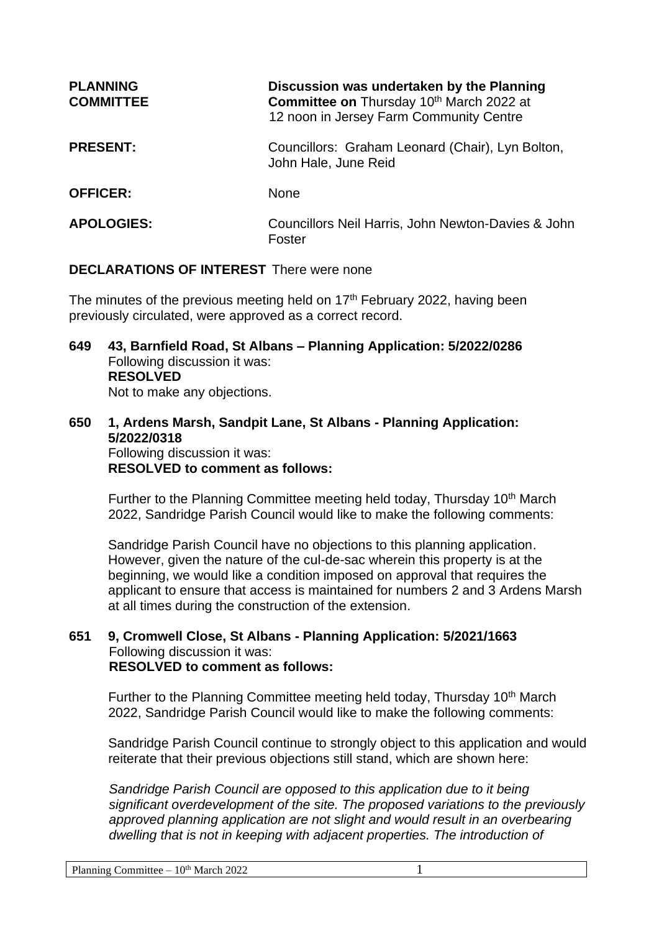| <b>PLANNING</b><br><b>COMMITTEE</b> | Discussion was undertaken by the Planning<br>Committee on Thursday 10th March 2022 at<br>12 noon in Jersey Farm Community Centre |
|-------------------------------------|----------------------------------------------------------------------------------------------------------------------------------|
| <b>PRESENT:</b>                     | Councillors: Graham Leonard (Chair), Lyn Bolton,<br>John Hale, June Reid                                                         |
| <b>OFFICER:</b>                     | <b>None</b>                                                                                                                      |
| <b>APOLOGIES:</b>                   | Councillors Neil Harris, John Newton-Davies & John<br>Foster                                                                     |

### **DECLARATIONS OF INTEREST** There were none

The minutes of the previous meeting held on 17<sup>th</sup> February 2022, having been previously circulated, were approved as a correct record.

- **649 43, Barnfield Road, St Albans – Planning Application: 5/2022/0286** Following discussion it was: **RESOLVED** Not to make any objections.
- **650 1, Ardens Marsh, Sandpit Lane, St Albans - Planning Application: 5/2022/0318** Following discussion it was: **RESOLVED to comment as follows:**

Further to the Planning Committee meeting held today, Thursday 10<sup>th</sup> March 2022, Sandridge Parish Council would like to make the following comments:

Sandridge Parish Council have no objections to this planning application. However, given the nature of the cul-de-sac wherein this property is at the beginning, we would like a condition imposed on approval that requires the applicant to ensure that access is maintained for numbers 2 and 3 Ardens Marsh at all times during the construction of the extension.

### **651 9, Cromwell Close, St Albans - Planning Application: 5/2021/1663** Following discussion it was: **RESOLVED to comment as follows:**

Further to the Planning Committee meeting held today, Thursday 10<sup>th</sup> March 2022, Sandridge Parish Council would like to make the following comments:

Sandridge Parish Council continue to strongly object to this application and would reiterate that their previous objections still stand, which are shown here:

*Sandridge Parish Council are opposed to this application due to it being significant overdevelopment of the site. The proposed variations to the previously*  approved planning application are not slight and would result in an overbearing dwelling that is not in keeping with adjacent properties. The introduction of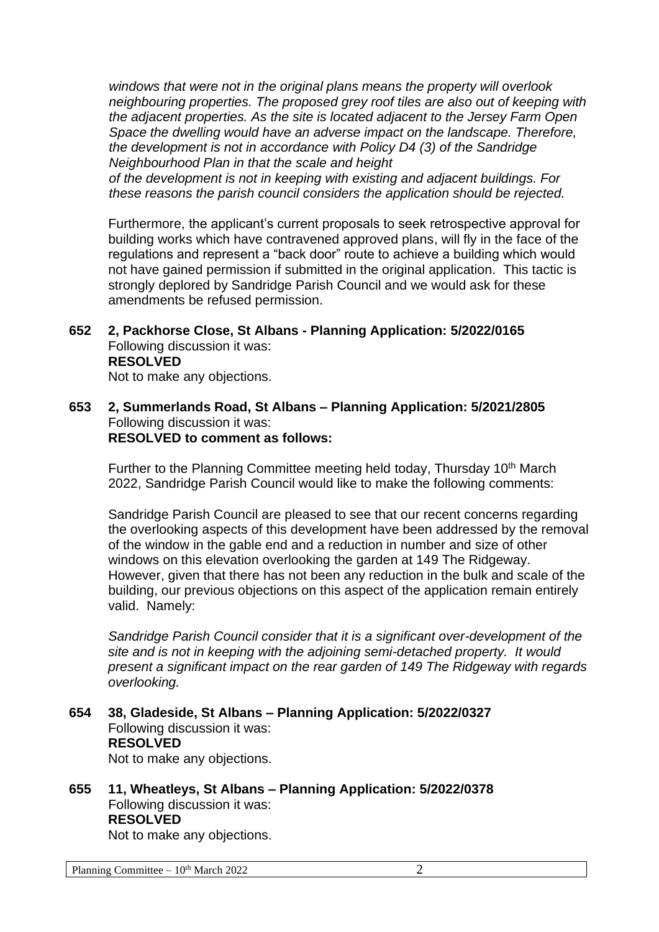*windows that were not in the original plans means the property will overlook neighbouring properties. The proposed grey roof tiles are also out of keeping with the adjacent properties. As the site is located adjacent to the Jersey Farm Open Space the dwelling would have an adverse impact on the landscape. Therefore, the development is not in accordance with Policy D4 (3) of the Sandridge Neighbourhood Plan in that the scale and height*

*of the development is not in keeping with existing and adjacent buildings. For these reasons the parish council considers the application should be rejected.*

Furthermore, the applicant's current proposals to seek retrospective approval for building works which have contravened approved plans, will fly in the face of the regulations and represent a "back door" route to achieve a building which would not have gained permission if submitted in the original application. This tactic is strongly deplored by Sandridge Parish Council and we would ask for these amendments be refused permission.

**652 2, Packhorse Close, St Albans - Planning Application: 5/2022/0165** Following discussion it was: **RESOLVED** Not to make any objections.

### **653 2, Summerlands Road, St Albans – Planning Application: 5/2021/2805** Following discussion it was: **RESOLVED to comment as follows:**

Further to the Planning Committee meeting held today, Thursday 10<sup>th</sup> March 2022, Sandridge Parish Council would like to make the following comments:

Sandridge Parish Council are pleased to see that our recent concerns regarding the overlooking aspects of this development have been addressed by the removal of the window in the gable end and a reduction in number and size of other windows on this elevation overlooking the garden at 149 The Ridgeway. However, given that there has not been any reduction in the bulk and scale of the building, our previous objections on this aspect of the application remain entirely valid. Namely:

*Sandridge Parish Council consider that it is a significant over-development of the site and is not in keeping with the adjoining semi-detached property. It would present a significant impact on the rear garden of 149 The Ridgeway with regards overlooking.*

# **654 38, Gladeside, St Albans – Planning Application: 5/2022/0327** Following discussion it was: **RESOLVED**

Not to make any objections.

**655 11, Wheatleys, St Albans – Planning Application: 5/2022/0378** Following discussion it was: **RESOLVED**

Not to make any objections.